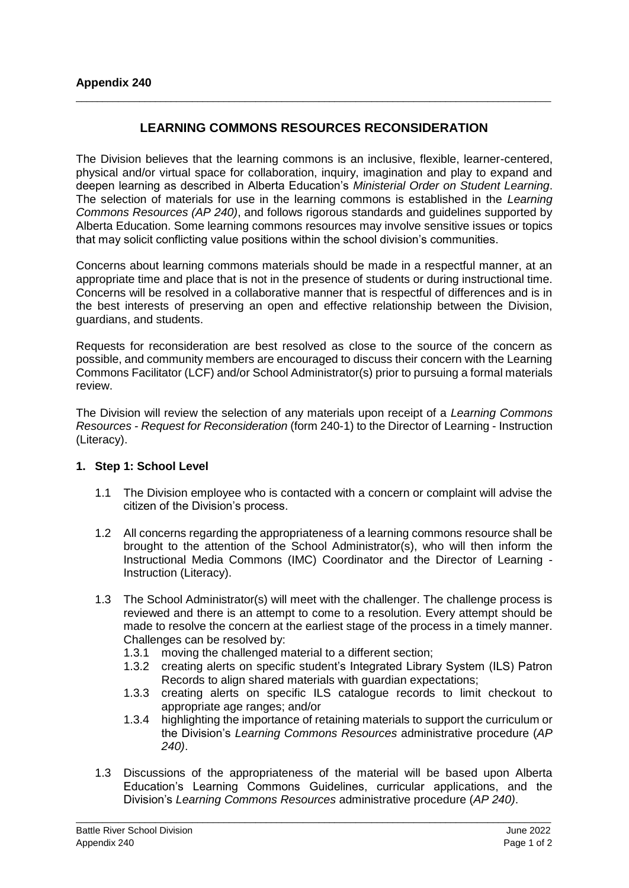## **LEARNING COMMONS RESOURCES RECONSIDERATION**

\_\_\_\_\_\_\_\_\_\_\_\_\_\_\_\_\_\_\_\_\_\_\_\_\_\_\_\_\_\_\_\_\_\_\_\_\_\_\_\_\_\_\_\_\_\_\_\_\_\_\_\_\_\_\_\_\_\_\_\_\_\_\_\_\_\_\_\_\_\_\_\_\_\_\_\_\_\_\_\_\_\_\_\_\_\_\_\_\_\_

The Division believes that the learning commons is an inclusive, flexible, learner-centered, physical and/or virtual space for collaboration, inquiry, imagination and play to expand and deepen learning as described in Alberta Education's *Ministerial Order on Student Learning*. The selection of materials for use in the learning commons is established in the *Learning Commons Resources (AP 240)*, and follows rigorous standards and guidelines supported by Alberta Education. Some learning commons resources may involve sensitive issues or topics that may solicit conflicting value positions within the school division's communities.

Concerns about learning commons materials should be made in a respectful manner, at an appropriate time and place that is not in the presence of students or during instructional time. Concerns will be resolved in a collaborative manner that is respectful of differences and is in the best interests of preserving an open and effective relationship between the Division, guardians, and students.

Requests for reconsideration are best resolved as close to the source of the concern as possible, and community members are encouraged to discuss their concern with the Learning Commons Facilitator (LCF) and/or School Administrator(s) prior to pursuing a formal materials review.

The Division will review the selection of any materials upon receipt of a *Learning Commons Resources - Request for Reconsideration* (form 240-1) to the Director of Learning - Instruction (Literacy).

## **1. Step 1: School Level**

- 1.1 The Division employee who is contacted with a concern or complaint will advise the citizen of the Division's process.
- 1.2 All concerns regarding the appropriateness of a learning commons resource shall be brought to the attention of the School Administrator(s), who will then inform the Instructional Media Commons (IMC) Coordinator and the Director of Learning - Instruction (Literacy).
- 1.3 The School Administrator(s) will meet with the challenger. The challenge process is reviewed and there is an attempt to come to a resolution. Every attempt should be made to resolve the concern at the earliest stage of the process in a timely manner. Challenges can be resolved by:
	- 1.3.1 moving the challenged material to a different section;
	- 1.3.2 creating alerts on specific student's Integrated Library System (ILS) Patron Records to align shared materials with guardian expectations;
	- 1.3.3 creating alerts on specific ILS catalogue records to limit checkout to appropriate age ranges; and/or
	- 1.3.4 highlighting the importance of retaining materials to support the curriculum or the Division's *Learning Commons Resources* administrative procedure (*AP 240)*.
- 1.3 Discussions of the appropriateness of the material will be based upon Alberta Education's Learning Commons Guidelines, curricular applications, and the Division's *Learning Commons Resources* administrative procedure (*AP 240)*.

\_\_\_\_\_\_\_\_\_\_\_\_\_\_\_\_\_\_\_\_\_\_\_\_\_\_\_\_\_\_\_\_\_\_\_\_\_\_\_\_\_\_\_\_\_\_\_\_\_\_\_\_\_\_\_\_\_\_\_\_\_\_\_\_\_\_\_\_\_\_\_\_\_\_\_\_\_\_\_\_\_\_\_\_\_\_\_\_\_\_